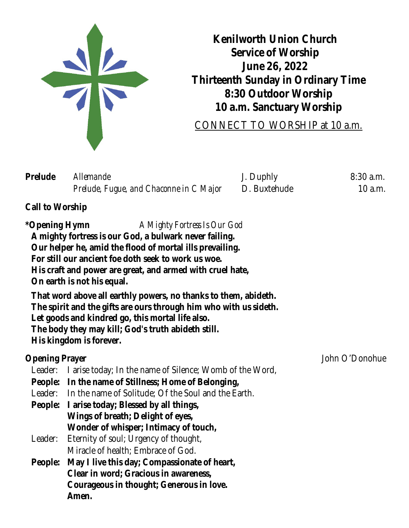

**Kenilworth Union Church Service of Worship June 26, 2022 Thirteenth Sunday in Ordinary Time 8:30 Outdoor Worship 10 a.m. Sanctuary Worship**

[CONNECT TO WORSHIP at 10 a.m.](https://kuc.org/watch/?sapurl=LyttcnluL2xiL21zLys5NTdueWpwP2VtYmVkPXRydWUmcmVjZW50Um91dGU9YXBwLndlYi1hcHAubGlicmFyeS5tZWRpYS1zZXJpZXMmcmVjZW50Um91dGVTbHVnPSUyQjk1N255anA=)

| Prelude | <i>Allemande</i>                        | J. Duphly    | $8:30$ a.m. |
|---------|-----------------------------------------|--------------|-------------|
|         | Prelude, Fugue, and Chaconne in C Major | D. Buxtehude | $10$ a.m.   |

# **Call to Worship**

**\*Opening Hymn** *A Mighty Fortress Is Our God* **A mighty fortress is our God, a bulwark never failing. Our helper he, amid the flood of mortal ills prevailing. For still our ancient foe doth seek to work us woe. His craft and power are great, and armed with cruel hate, On earth is not his equal. That word above all earthly powers, no thanks to them, abideth. The spirit and the gifts are ours through him who with us sideth. Let goods and kindred go, this mortal life also. The body they may kill; God's truth abideth still. His kingdom is forever. Opening Prayer** John O'Donohue Leader: I arise today; In the name of Silence; Womb of the Word, **People: In the name of Stillness; Home of Belonging,** Leader: In the name of Solitude; Of the Soul and the Earth. **People: I arise today; Blessed by all things, Wings of breath; Delight of eyes, Wonder of whisper; Intimacy of touch,** Leader: Eternity of soul; Urgency of thought, Miracle of health; Embrace of God. **People: May I live this day; Compassionate of heart, Clear in word; Gracious in awareness, Courageous in thought; Generous in love. Amen.**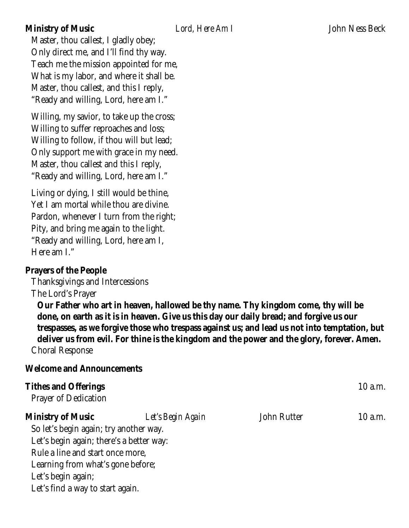# **Ministry of Music** *Lord, Here Am I* John Ness Beck

Master, thou callest, I gladly obey; Only direct me, and I'll find thy way. Teach me the mission appointed for me, What is my labor, and where it shall be. Master, thou callest, and this I reply, "Ready and willing, Lord, here am I."

Willing, my savior, to take up the cross; Willing to suffer reproaches and loss; Willing to follow, if thou will but lead; Only support me with grace in my need. Master, thou callest and this I reply, "Ready and willing, Lord, here am I."

Living or dying, I still would be thine, Yet I am mortal while thou are divine. Pardon, whenever I turn from the right; Pity, and bring me again to the light. "Ready and willing, Lord, here am I, Here am I."

# **Prayers of the People**

Thanksgivings and Intercessions The Lord's Prayer

**Our Father who art in heaven, hallowed be thy name. Thy kingdom come, thy will be done, on earth as it is in heaven. Give us this day our daily bread; and forgive us our trespasses, as we forgive those who trespass against us; and lead us not into temptation, but deliver us from evil. For thine is the kingdom and the power and the glory, forever. Amen.** Choral Response

# **Welcome and Announcements**

| <b>Tithes and Offerings</b><br><b>Prayer of Dedication</b> |                   |                    | 10 a.m.   |
|------------------------------------------------------------|-------------------|--------------------|-----------|
| <b>Ministry of Music</b>                                   | Let's Begin Again | <b>John Rutter</b> | $10$ a.m. |
| So let's begin again; try another way.                     |                   |                    |           |
| Let's begin again; there's a better way:                   |                   |                    |           |
| Rule a line and start once more,                           |                   |                    |           |
| Learning from what's gone before;                          |                   |                    |           |
| Let's begin again;                                         |                   |                    |           |
| Let's find a way to start again.                           |                   |                    |           |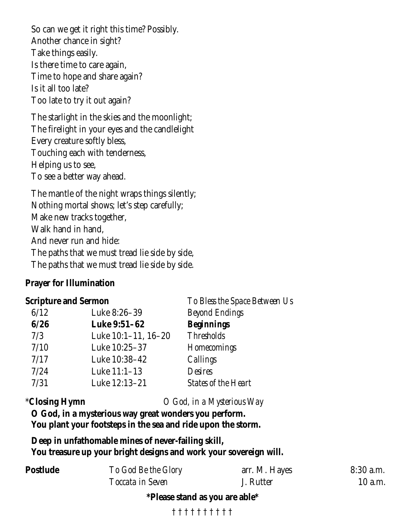So can we get it right this time? Possibly. Another chance in sight? Take things easily. Is there time to care again, Time to hope and share again? Is it all too late? Too late to try it out again?

The starlight in the skies and the moonlight; The firelight in your eyes and the candlelight Every creature softly bless, Touching each with tenderness, Helping us to see, To see a better way ahead.

The mantle of the night wraps things silently; Nothing mortal shows; let's step carefully; Make new tracks together, Walk hand in hand, And never run and hide: The paths that we must tread lie side by side, The paths that we must tread lie side by side.

# **Prayer for Illumination**

# **Scripture and Sermon** *To Bless the Space Between Us*

| $\frac{1}{2}$ |                          |                            |  |
|---------------|--------------------------|----------------------------|--|
| 6/12          | Luke 8:26-39             | <b>Beyond Endings</b>      |  |
| 6/26          | <b>Luke 9:51-62</b>      | <b>Beginnings</b>          |  |
| 7/3           | Luke $10:1-11$ , $16-20$ | <b>Thresholds</b>          |  |
| 7/10          | Luke 10:25-37            | Homecomings                |  |
| 7/17          | Luke 10:38-42            | Callings                   |  |
| 7/24          | Luke 11:1-13             | Desires                    |  |
| 7/31          | Luke 12:13-21            | <b>States of the Heart</b> |  |
|               |                          |                            |  |

\***Closing Hymn** *O God, in a Mysterious Way*

**O God, in a mysterious way great wonders you perform. You plant your footsteps in the sea and ride upon the storm.**

**Deep in unfathomable mines of never-failing skill, You treasure up your bright designs and work your sovereign will.**

| <b>Postlude</b> | To God Be the Glory | arr. M. Hayes | $8:30$ a.m. |
|-----------------|---------------------|---------------|-------------|
|                 | Toccata in Seven    | J. Rutter     | $10$ a.m.   |

**\*Please stand as you are able\***

† † † † † † † † † †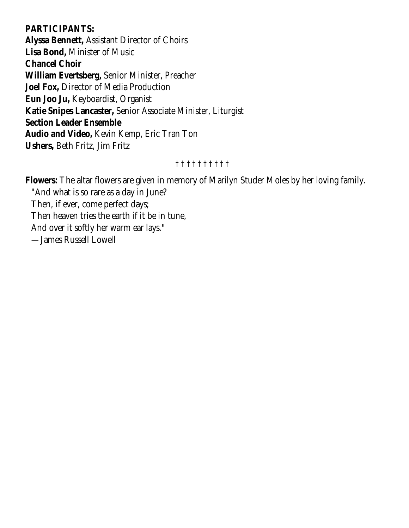# **PARTICIPANTS:**

**Alyssa Bennett,** Assistant Director of Choirs **Lisa Bond,** Minister of Music **Chancel Choir William Evertsberg,** Senior Minister, Preacher **Joel Fox,** Director of Media Production **Eun Joo Ju,** Keyboardist, Organist **Katie Snipes Lancaster,** Senior Associate Minister, Liturgist **Section Leader Ensemble Audio and Video,** Kevin Kemp, Eric Tran Ton **Ushers,** Beth Fritz, Jim Fritz

# † † † † † † † † † †

**Flowers:** The altar flowers are given in memory of Marilyn Studer Moles by her loving family. "And what is so rare as a day in June? Then, if ever, come perfect days; Then heaven tries the earth if it be in tune, And over it softly her warm ear lays." —James Russell Lowell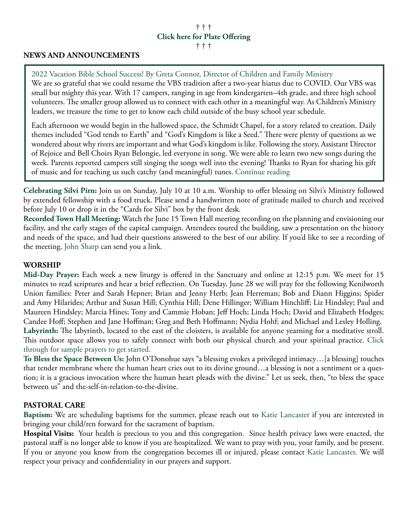# † † † **[Click here for Plate Offering](https://kuc.org/donate-to-kenilworth-union-church/)**

#### † † †

# **NEWS AND ANNOUNCEMENTS**

[2022 Vacation Bible School Success! By Greta Connor, Director of Children and Family Ministry](https://kuc.org/2022-vacation-bible-school-success/) We are so grateful that we could resume the VBS tradition after a two-year hiatus due to COVID. Our VBS was small but mighty this year. With 17 campers, ranging in age from kindergarten–4th grade, and three high school volunteers. The smaller group allowed us to connect with each other in a meaningful way. As Children's Ministry leaders, we treasure the time to get to know each child outside of the busy school year schedule.

Each afternoon we would begin in the hallowed space, the Schmidt Chapel, for a story related to creation. Daily themes included "God tends to Earth" and "God's Kingdom is like a Seed." There were plenty of questions as we wondered about why rivers are important and what God's kingdom is like. Following the story, Assistant Director of Rejoice and Bell Choirs Ryan Belongie, led everyone in song. We were able to learn two new songs during the week. Parents reported campers still singing the songs well into the evening! Thanks to Ryan for sharing his gift of music and for teaching us such catchy (and meaningful) tunes. [Continue reading](https://kuc.org/2022-vacation-bible-school-success/)

**[Celebrating Silvi Pirn:](https://kuc.org/celebrating-silvi-pirn/)** Join us on Sunday, July 10 at 10 a.m. Worship to offer blessing on Silvi's Ministry followed by extended fellowship with a food truck. Please send a handwritten note of gratitude mailed to church and received before July 10 or drop it in the "Cards for Silvi" box by the front desk.

**[Recorded Town Hall Meeting:](https://kuc.org/recorded-town-hall-meeting/)** Watch the June 15 Town Hall meeting recording on the planning and envisioning our facility, and the early stages of the capital campaign. Attendees toured the building, saw a presentation on the history and needs of the space, and had their questions answered to the best of our ability. If you'd like to see a recording of the meeting, [John Sharp](mailto:jsharp@kuc.org?subject=Town%20Hall%20Video%20Link) can send you a link.

#### **WORSHIP**

**[Mid-Day Prayer:](https://kuc.org/event/mid-day-prayer-2021-06-15/all/)** Each week a new liturgy is offered in the Sanctuary and online at 12:15 p.m. We meet for 15 minutes to read scriptures and hear a brief reflection. On Tuesday, June 28 we will pray for the following Kenilworth Union families: Peter and Sarah Hepner; Brian and Jenny Herb; Jean Herreman; Bob and Diann Higgins; Spider and Amy Hilarides; Arthur and Susan Hill; Cynthia Hill; Dene Hillinger; William Hinchliff; Liz Hindsley; Paul and Maureen Hindsley; Marcia Hines; Tony and Cammie Hoban; Jeff Hoch; Linda Hoch; David and Elizabeth Hodges; Candee Hoff; Stephen and Jane Hoffman; Greg and Beth Hoffmann; Nydia Hohf; and Michael and Lesley Holling. **[Labyrinth:](https://youtu.be/k_dcIx8bpdU)** The labyrinth, located to the east of the cloisters, is available for anyone yearning for a meditative stroll. This outdoor space allows you to safely connect with both our physical church and your spiritual practice. [Click](https://kuc.org/labyrinth-prayer-guide/)  [through for sample prayers to get started.](https://kuc.org/labyrinth-prayer-guide/)

**[To Bless the Space Between Us:](https://kuc.org/to-bless-the-space-between-us/)** John O'Donohue says "a blessing evokes a privileged intimacy…[a blessing] touches that tender membrane where the human heart cries out to its divine ground…a blessing is not a sentiment or a question; it is a gracious invocation where the human heart pleads with the divine." Let us seek, then, "to bless the space between us" and the-self-in-relation-to-the-divine.

#### **PASTORAL CARE**

**[Baptism:](https://kuc.org/worship/life-events/)** We are scheduling baptisms for the summer, please reach out to [Katie Lancaster](mailto:klancaster@kuc.org?subject=Baptism) if you are interested in bringing your child/ren forward for the sacrament of baptism.

**Hospital Visits:** Your health is precious to you and this congregation. Since health privacy laws were enacted, the pastoral staff is no longer able to know if you are hospitalized. We want to pray with you, your family, and be present. If you or anyone you know from the congregation becomes ill or injured, please contact [Katie Lancaster.](mailto:klancaster@kuc.org?subject=Hospital%20Visit) We will respect your privacy and confidentiality in our prayers and support.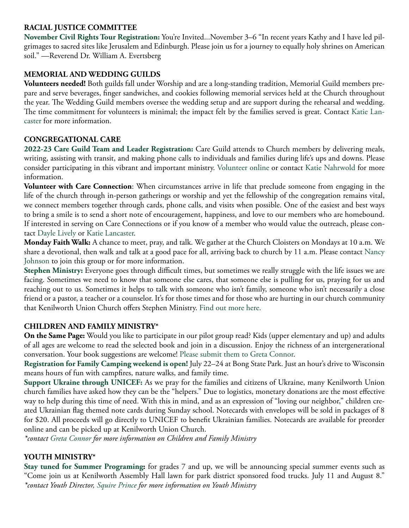### **RACIAL JUSTICE COMMITTEE**

**[November Civil Rights Tour Registration:](https://kuc.org/civil-rights-tour-and-reservation/)** You're Invited...November 3–6 "In recent years Kathy and I have led pilgrimages to sacred sites like Jerusalem and Edinburgh. Please join us for a journey to equally holy shrines on American soil." —Reverend Dr. William A. Evertsberg

#### **MEMORIAL AND WEDDING GUILDS**

**Volunteers needed!** Both guilds fall under Worship and are a long-standing tradition, Memorial Guild members prepare and serve beverages, finger sandwiches, and cookies following memorial services held at the Church throughout the year. The Wedding Guild members oversee the wedding setup and are support during the rehearsal and wedding. The time commitment for volunteers is minimal; the impact felt by the families served is great. Contact [Katie Lan](mailto:klancaster@kuc.org?subject=Wedding%20and%20Memorial%20Guilds)[caster](mailto:klancaster@kuc.org?subject=Wedding%20and%20Memorial%20Guilds) for more information.

#### **CONGREGATIONAL CARE**

**[2022-23 Care Guild Team and Leader Registration:](https://kuc.org/volunteer-for-the-2022-2023-care-guild-here/)** Care Guild attends to Church members by delivering meals, writing, assisting with transit, and making phone calls to individuals and families during life's ups and downs. Please consider participating in this vibrant and important ministry. [Volunteer online](https://kuc.org/volunteer-for-the-2022-2023-care-guild-here/) or contact [Katie Nahrwold](mailto:kknahrwold@gmail.com?subject=Care%20Guild) for more information.

**Volunteer with Care Connection**: When circumstances arrive in life that preclude someone from engaging in the life of the church through in-person gatherings or worship and yet the fellowship of the congregation remains vital, we connect members together through cards, phone calls, and visits when possible. One of the easiest and best ways to bring a smile is to send a short note of encouragement, happiness, and love to our members who are homebound. If interested in serving on Care Connections or if you know of a member who would value the outreach, please contact [Dayle Lively](mailto:Dayle.lively@bairdwarner.com?subject=Care%20Connections) or [Katie Lancaster](mailto:klancaster@kuc.org?subject=Care%20Connections).

**Monday Faith Walk:** A chance to meet, pray, and talk. We gather at the Church Cloisters on Mondays at 10 a.m. We share a devotional, then walk and talk at a good pace for all, arriving back to church by 11 a.m. Please contact [Nancy](mailto:nancywjohnson3@gmail.com?subject=Monday%20Faith%20Walk) [Johnson](mailto:nancywjohnson3@gmail.com?subject=Monday%20Faith%20Walk) to join this group or for more information.

**[Stephen Ministry:](https://kuc.org/connect/congregational-care/stephen-ministry/)** Everyone goes through difficult times, but sometimes we really struggle with the life issues we are facing. Sometimes we need to know that someone else cares, that someone else is pulling for us, praying for us and reaching out to us. Sometimes it helps to talk with someone who isn't family, someone who isn't necessarily a close friend or a pastor, a teacher or a counselor. It's for those times and for those who are hurting in our church community that Kenilworth Union Church offers Stephen Ministry. [Find out more here.](https://kuc.org/connect/congregational-care/stephen-ministry/)

#### **CHILDREN AND FAMILY MINISTRY\***

**On the Same Page:** Would you like to participate in our pilot group read? Kids (upper elementary and up) and adults of all ages are welcome to read the selected book and join in a discussion. Enjoy the richness of an intergenerational conversation. Your book suggestions are welcome! [Please submit them to Greta Connor](mailto:gconnor@kuc.org).

**[Registration for Family Camping weekend is open!](https://kuc.org/family-camping-registration/)** July 22–24 at Bong State Park. Just an hour's drive to Wisconsin means hours of fun with campfires, nature walks, and family time.

**[Support Ukraine through UNICEF:](https://kuc.org/children-and-family-ministry-efforts-to-support-ukraine/)** As we pray for the families and citizens of Ukraine, many Kenilworth Union church families have asked how they can be the "helpers." Due to logistics, monetary donations are the most effective way to help during this time of need. With this in mind, and as an expression of "loving our neighbor," children created Ukrainian flag themed note cards during Sunday school. Notecards with envelopes will be sold in packages of 8 for \$20. All proceeds will go directly to UNICEF to benefit Ukrainian families. Notecards are available for preorder online and can be picked up at Kenilworth Union Church.

*\*contact [Greta Connor](mailto:gconnor@kuc.org?subject=Children%20and%20Family%20Ministry) for more information on Children and Family Ministry*

## **YOUTH MINISTRY\***

**[Stay tuned for Summer Programing](https://kucyouth.churchcenter.com/calendar):** for grades 7 and up, we will be announcing special summer events such as "Come join us at Kenilworth Assembly Hall lawn for park district sponsored food trucks. July 11 and August 8." *\*contact Youth Director, [Squire Prince](mailto:sprince@kuc.org?subject=Youth%20Ministry) for more information on Youth Ministry*